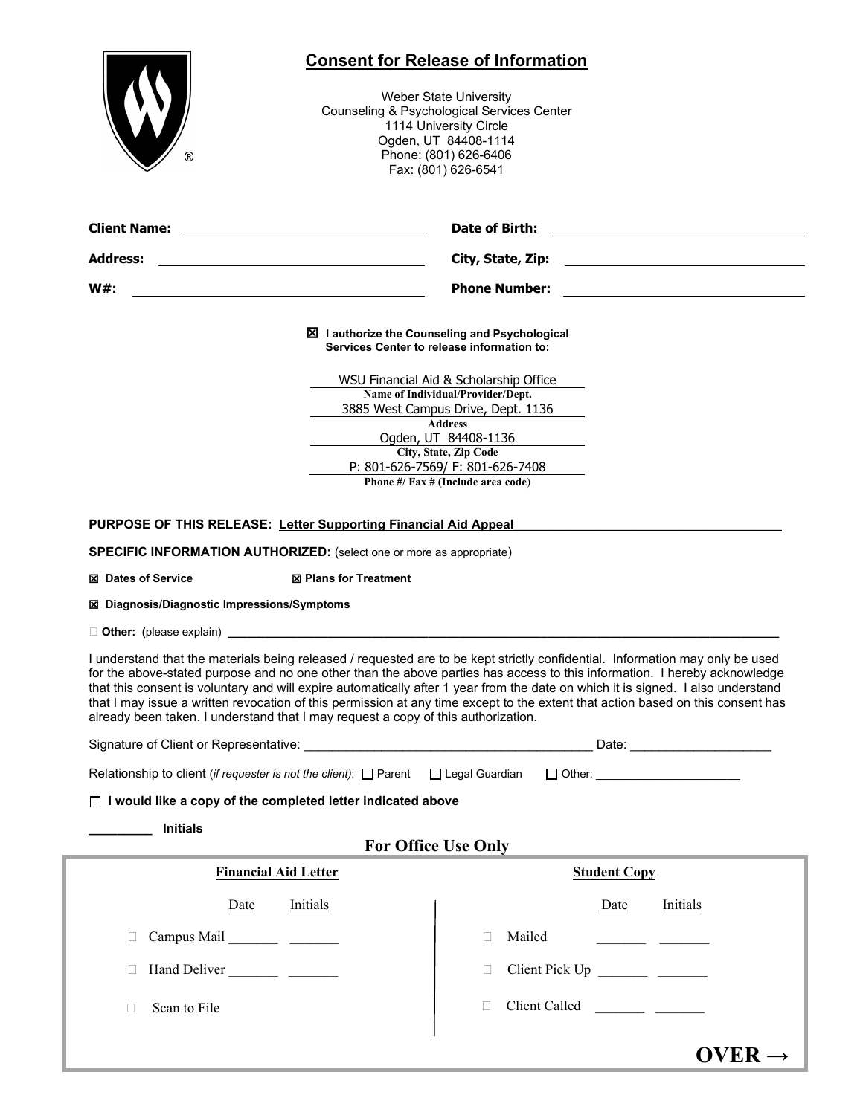| <b>Consent for Release of Information</b><br><b>Weber State University</b><br>Counseling & Psychological Services Center<br>1114 University Circle<br>Ogden, UT 84408-1114<br>Phone: (801) 626-6406<br>®<br>Fax: (801) 626-6541                                                                                                                                                                                                                                                                                                                                                                                        |                                                                                                                                               |
|------------------------------------------------------------------------------------------------------------------------------------------------------------------------------------------------------------------------------------------------------------------------------------------------------------------------------------------------------------------------------------------------------------------------------------------------------------------------------------------------------------------------------------------------------------------------------------------------------------------------|-----------------------------------------------------------------------------------------------------------------------------------------------|
| <b>Client Name:</b>                                                                                                                                                                                                                                                                                                                                                                                                                                                                                                                                                                                                    | Date of Birth:                                                                                                                                |
| <b>Address:</b>                                                                                                                                                                                                                                                                                                                                                                                                                                                                                                                                                                                                        | City, State, Zip:                                                                                                                             |
| <b>W#:</b>                                                                                                                                                                                                                                                                                                                                                                                                                                                                                                                                                                                                             | <b>Phone Number:</b><br><u> 1989 - Johann Harry Harry Harry Harry Harry Harry Harry Harry Harry Harry Harry Harry Harry Harry Harry Harry</u> |
| I authorize the Counseling and Psychological<br>Services Center to release information to:                                                                                                                                                                                                                                                                                                                                                                                                                                                                                                                             |                                                                                                                                               |
| WSU Financial Aid & Scholarship Office<br>Name of Individual/Provider/Dept.                                                                                                                                                                                                                                                                                                                                                                                                                                                                                                                                            |                                                                                                                                               |
| 3885 West Campus Drive, Dept. 1136<br><b>Address</b>                                                                                                                                                                                                                                                                                                                                                                                                                                                                                                                                                                   |                                                                                                                                               |
| Ogden, UT 84408-1136                                                                                                                                                                                                                                                                                                                                                                                                                                                                                                                                                                                                   |                                                                                                                                               |
| City, State, Zip Code<br>P: 801-626-7569/ F: 801-626-7408                                                                                                                                                                                                                                                                                                                                                                                                                                                                                                                                                              |                                                                                                                                               |
| Phone #/ Fax # (Include area code)                                                                                                                                                                                                                                                                                                                                                                                                                                                                                                                                                                                     |                                                                                                                                               |
| PURPOSE OF THIS RELEASE: Letter Supporting Financial Aid Appeal<br><b>SPECIFIC INFORMATION AUTHORIZED:</b> (select one or more as appropriate)<br><b>図 Dates of Service</b><br><b>図 Plans for Treatment</b><br>図 Diagnosis/Diagnostic Impressions/Symptoms                                                                                                                                                                                                                                                                                                                                                             |                                                                                                                                               |
|                                                                                                                                                                                                                                                                                                                                                                                                                                                                                                                                                                                                                        |                                                                                                                                               |
| I understand that the materials being released / requested are to be kept strictly confidential. Information may only be used<br>for the above-stated purpose and no one other than the above parties has access to this information. I hereby acknowledge<br>that this consent is voluntary and will expire automatically after 1 year from the date on which it is signed. I also understand<br>that I may issue a written revocation of this permission at any time except to the extent that action based on this consent has<br>already been taken. I understand that I may request a copy of this authorization. |                                                                                                                                               |
|                                                                                                                                                                                                                                                                                                                                                                                                                                                                                                                                                                                                                        |                                                                                                                                               |
| □ Legal Guardian<br>□ Other: _________________________<br>Relationship to client (if requester is not the client): $\Box$ Parent                                                                                                                                                                                                                                                                                                                                                                                                                                                                                       |                                                                                                                                               |
| $\Box$ I would like a copy of the completed letter indicated above                                                                                                                                                                                                                                                                                                                                                                                                                                                                                                                                                     |                                                                                                                                               |
| <b>Initials</b><br><b>For Office Use Only</b>                                                                                                                                                                                                                                                                                                                                                                                                                                                                                                                                                                          |                                                                                                                                               |
| <b>Financial Aid Letter</b><br><b>Student Copy</b>                                                                                                                                                                                                                                                                                                                                                                                                                                                                                                                                                                     |                                                                                                                                               |
| <b>Initials</b><br>Date                                                                                                                                                                                                                                                                                                                                                                                                                                                                                                                                                                                                | <i>Initials</i><br>Date                                                                                                                       |
|                                                                                                                                                                                                                                                                                                                                                                                                                                                                                                                                                                                                                        | Mailed<br>П<br><u> 1989 - John Harry Barn, mars ar brening ar yn y brening yn y brening yn y brening yn y brening yn y brening y</u>          |
|                                                                                                                                                                                                                                                                                                                                                                                                                                                                                                                                                                                                                        | Client Pick Up $\frac{1}{\sqrt{2\pi}}$<br>$\Box$                                                                                              |
| Scan to File<br>П                                                                                                                                                                                                                                                                                                                                                                                                                                                                                                                                                                                                      | $\mathbf{L}$                                                                                                                                  |
| $\overline{\text{OVER}} \rightarrow$                                                                                                                                                                                                                                                                                                                                                                                                                                                                                                                                                                                   |                                                                                                                                               |